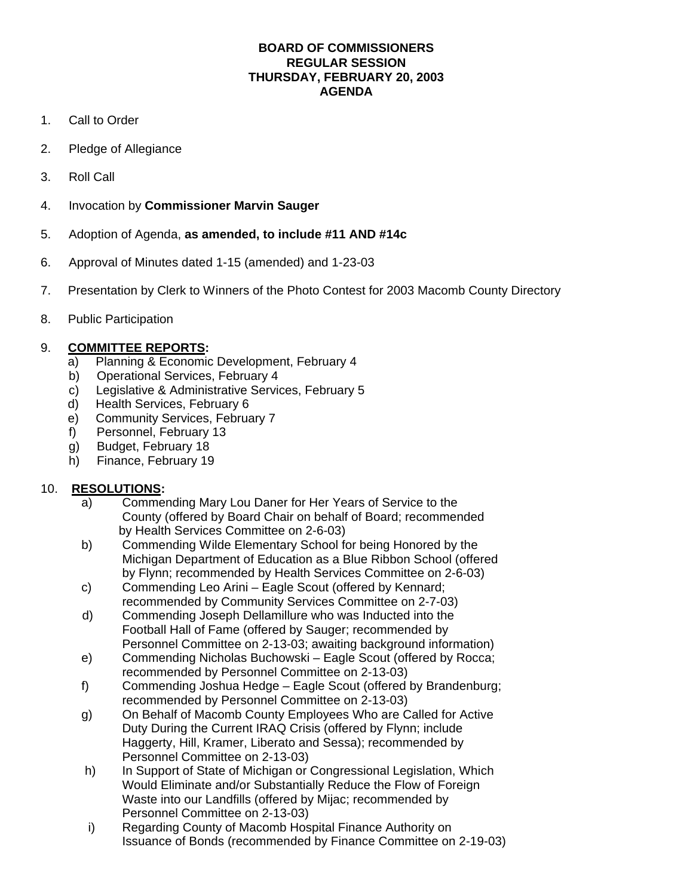#### **BOARD OF COMMISSIONERS REGULAR SESSION THURSDAY, FEBRUARY 20, 2003 AGENDA**

- 1. Call to Order
- 2. Pledge of Allegiance
- 3. Roll Call
- 4. Invocation by **Commissioner Marvin Sauger**
- 5. Adoption of Agenda, **as amended, to include #11 AND #14c**
- 6. Approval of Minutes dated 1-15 (amended) and 1-23-03
- 7. Presentation by Clerk to Winners of the Photo Contest for 2003 Macomb County Directory
- 8. Public Participation

### 9. **COMMITTEE REPORTS:**

- a) Planning & Economic Development, February 4
- b) Operational Services, February 4
- c) Legislative & Administrative Services, February 5
- d) Health Services, February 6
- e) Community Services, February 7
- f) Personnel, February 13
- g) Budget, February 18
- h) Finance, February 19

## 10. **RESOLUTIONS:**

- a) Commending Mary Lou Daner for Her Years of Service to the County (offered by Board Chair on behalf of Board; recommended by Health Services Committee on 2-6-03)
- b) Commending Wilde Elementary School for being Honored by the Michigan Department of Education as a Blue Ribbon School (offered by Flynn; recommended by Health Services Committee on 2-6-03)
- c) Commending Leo Arini Eagle Scout (offered by Kennard; recommended by Community Services Committee on 2-7-03)
- d) Commending Joseph Dellamillure who was Inducted into the Football Hall of Fame (offered by Sauger; recommended by Personnel Committee on 2-13-03; awaiting background information)
- e) Commending Nicholas Buchowski Eagle Scout (offered by Rocca; recommended by Personnel Committee on 2-13-03)
- f) Commending Joshua Hedge Eagle Scout (offered by Brandenburg; recommended by Personnel Committee on 2-13-03)
- g) On Behalf of Macomb County Employees Who are Called for Active Duty During the Current IRAQ Crisis (offered by Flynn; include Haggerty, Hill, Kramer, Liberato and Sessa); recommended by Personnel Committee on 2-13-03)
- h) In Support of State of Michigan or Congressional Legislation, Which Would Eliminate and/or Substantially Reduce the Flow of Foreign Waste into our Landfills (offered by Mijac; recommended by Personnel Committee on 2-13-03)
- i) Regarding County of Macomb Hospital Finance Authority on Issuance of Bonds (recommended by Finance Committee on 2-19-03)